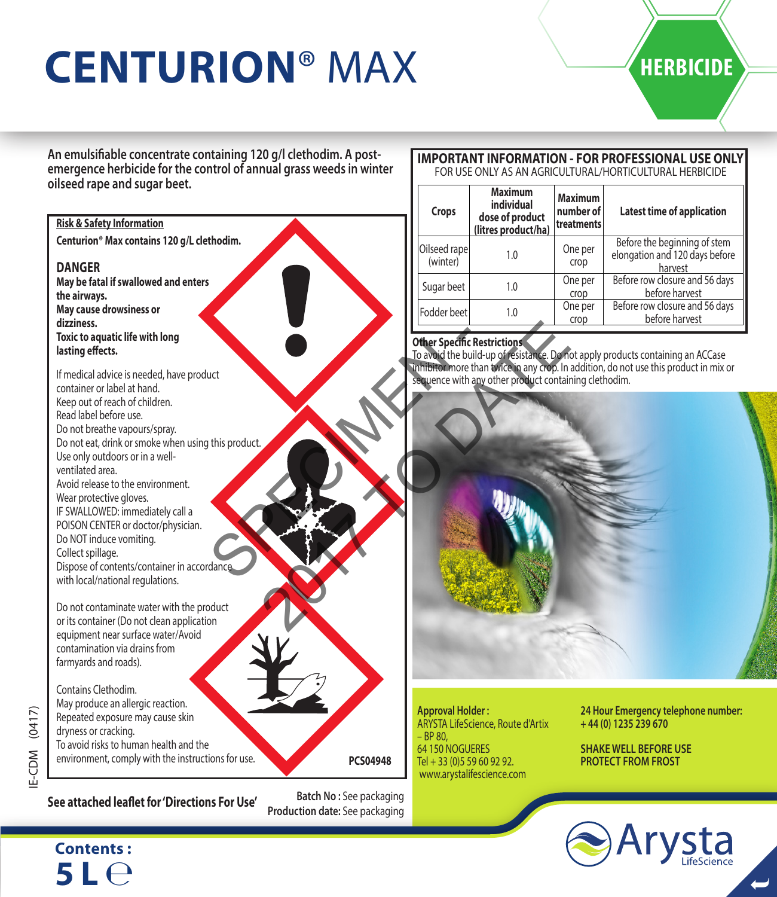# **CENTURION® MAX HERBICIDE**

**An emulsifiable concentrate containing 120 g/l clethodim. A postemergence herbicide for the control of annual grass weeds in winter oilseed rape and sugar beet.** 

#### **Centurion® Max contains 120 g/L clethodim. DANGER May be fatal if swallowed and enters the airways. May cause drowsiness or dizziness. Toxic to aquatic life with long lasting effects.** If medical advice is needed, have product container or label at hand. Keep out of reach of children. Read label before use. Do not breathe vapours/spray. Do not eat, drink or smoke when using this product. Use only outdoors or in a wellventilated area. Avoid release to the environment. Wear protective gloves. IF SWALLOWED: immediately call a POISON CENTER or doctor/physician. Do NOT induce vomiting. Collect spillage. Dispose of contents/container in accordance with local/national regulations. Do not contaminate water with the product or its container (Do not clean application equipment near surface water/Avoid contamination via drains from farmyards and roads). Contains Clethodim. May produce an allergic reaction. Repeated exposure may cause skin dryness or cracking. To avoid risks to human health and the environment, comply with the instructions for use. **Risk & Safety Information PCS04948** Interpreting the product of the special chestric production of the special chestric production of 2017 TO DATE RESIDENCE

# $(0417)$ IE-CDM (0417) E-CDM

**Patch No: See attached leaflet for 'Directions For Use'** Batch No: See packaging **See attached leaflet for 'Directions For Use'** 

**Batch No :** See packaging

#### **IMPORTANT INFORMATION - FOR PROFESSIONAL USE ONLY** FOR USE ONLY AS AN AGRICULTURAL/HORTICULTURAL HERBICIDE

| Crops                    | Maximum<br>individual<br>dose of product<br>(litres product/ha) | <b>Maximum</b><br>number of<br>treatments | Latest time of application                                                |
|--------------------------|-----------------------------------------------------------------|-------------------------------------------|---------------------------------------------------------------------------|
| Oilseed rape<br>(winter) | 1.0                                                             | One per<br>crop                           | Before the beginning of stem<br>elongation and 120 days before<br>harvest |
| Sugar beet               | 1.0                                                             | One per<br>crop                           | Before row closure and 56 days<br>before harvest                          |
| Fodder beet              | 1.0                                                             | One per<br>crop                           | Before row closure and 56 days<br>before harvest                          |

**Other Specific Restrictions**<br>To avoid the build-up of resistance. Do not apply products containing an ACCase<br>Inhibitor more than twice in any crop. In addition, do not use this product in mix or suence with any other product containing clethodim.



**Approval Holder :**  ARYSTA LifeScience, Route d'Artix  $-$  RP 80 64 150 NOGUERES Tel + 33 (0)5 59 60 92 92. www.arystalifescience.com

**24 Hour Emergency telephone number: + 44 (0) 1235 239 670**

**SHAKE WELL BEFORE USE PROTECT FROM FROST**



## **Contents : 5 L** ℮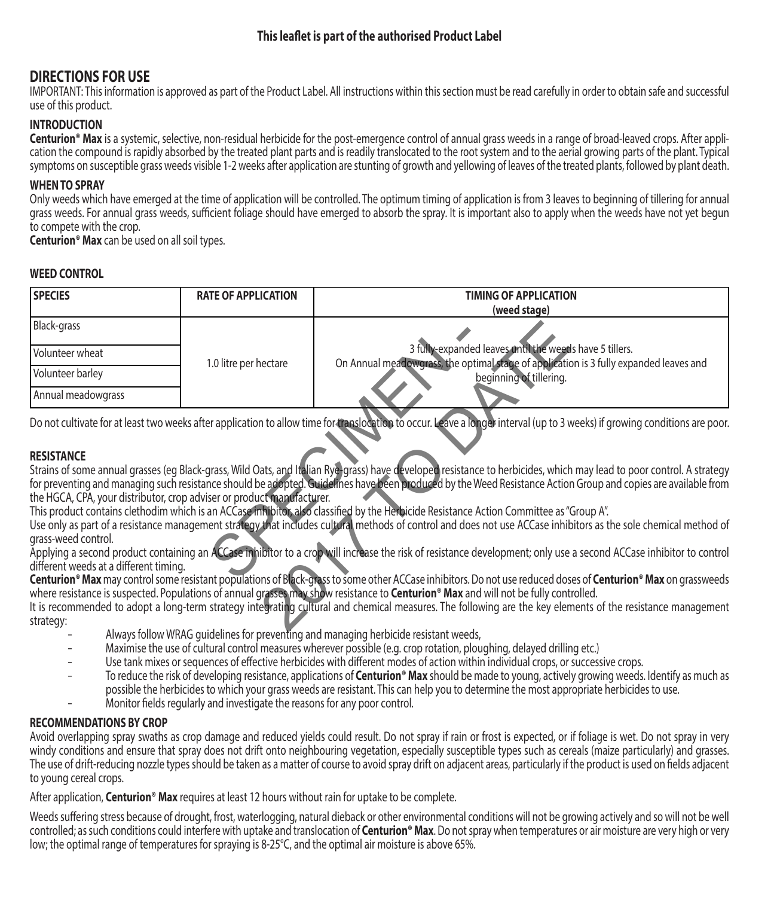### **This leaflet is part of the authorised Product Label**

## **DIRECTIONS FOR USE**

IMPORTANT: This information is approved as part of the Product Label. All instructions within this section must be read carefully in order to obtain safe and successful use of this product.

#### **INTRODUCTION**

**Centurion® Max** is a systemic, selective, non-residual herbicide for the post-emergence control of annual grass weeds in a range of broad-leaved crops. After application the compound is rapidly absorbed by the treated plant parts and is readily translocated to the root system and to the aerial growing parts of the plant. Typical symptoms on susceptible grass weeds visible 1-2 weeks after application are stunting of growth and yellowing of leaves of the treated plants, followed by plant death.

#### **WHEN TO SPRAY**

Only weeds which have emerged at the time of application will be controlled. The optimum timing of application is from 3 leaves to beginning of tillering for annual grass weeds. For annual grass weeds, sufficient foliage should have emerged to absorb the spray. It is important also to apply when the weeds have not yet begun to compete with the crop.

**Centurion® Max** can be used on all soil types.

#### **WEED CONTROL**

| <b>SPECIES</b>                                                                                                                                                                                                                                                                                               | <b>RATE OF APPLICATION</b> | <b>TIMING OF APPLICATION</b>                                                                                                                                                                                                                                                                                                            |  |  |
|--------------------------------------------------------------------------------------------------------------------------------------------------------------------------------------------------------------------------------------------------------------------------------------------------------------|----------------------------|-----------------------------------------------------------------------------------------------------------------------------------------------------------------------------------------------------------------------------------------------------------------------------------------------------------------------------------------|--|--|
|                                                                                                                                                                                                                                                                                                              |                            | (weed stage)                                                                                                                                                                                                                                                                                                                            |  |  |
| Black-grass                                                                                                                                                                                                                                                                                                  |                            |                                                                                                                                                                                                                                                                                                                                         |  |  |
| Volunteer wheat                                                                                                                                                                                                                                                                                              | 1.0 litre per hectare      | 3 fully-expanded leaves until the weeds have 5 tillers.<br>On Annual meadowgrass, the optimal stage of application is 3 fully expanded leaves and                                                                                                                                                                                       |  |  |
| Volunteer barley                                                                                                                                                                                                                                                                                             |                            | beginning of tillering.                                                                                                                                                                                                                                                                                                                 |  |  |
| Annual meadowgrass                                                                                                                                                                                                                                                                                           |                            |                                                                                                                                                                                                                                                                                                                                         |  |  |
|                                                                                                                                                                                                                                                                                                              |                            | Do not cultivate for at least two weeks after application to allow time for translocation to occur. Leave a long of interval (up to 3 weeks) if growing conditions are poor.                                                                                                                                                            |  |  |
| <b>RESISTANCE</b>                                                                                                                                                                                                                                                                                            |                            |                                                                                                                                                                                                                                                                                                                                         |  |  |
|                                                                                                                                                                                                                                                                                                              |                            | Strains of some annual grasses (eg Black-grass, Wild Oats, and Italian Rya-grass) have developed resistance to herbicides, which may lead to poor control. A strategy<br>for preventing and managing such resistance should be adopted. Guidelines have been produced by the Weed Resistance Action Group and copies are available from |  |  |
| the HGCA, CPA, your distributor, crop adviser or product manufacturer.                                                                                                                                                                                                                                       |                            |                                                                                                                                                                                                                                                                                                                                         |  |  |
| This product contains clethodim which is an ACCase inhibitor, also classified by the Herbicide Resistance Action Committee as "Group A".<br>Use only as part of a resistance management strategy that includes cultural methods of control and does not use ACCase inhibitors as the sole chemical method of |                            |                                                                                                                                                                                                                                                                                                                                         |  |  |
| grass-weed control.                                                                                                                                                                                                                                                                                          |                            |                                                                                                                                                                                                                                                                                                                                         |  |  |
| different weeds at a different timing.                                                                                                                                                                                                                                                                       |                            | Applying a second product containing an ACCase inhibitor to a crop will increase the risk of resistance development; only use a second ACCase inhibitor to control                                                                                                                                                                      |  |  |
|                                                                                                                                                                                                                                                                                                              |                            | Centurion <sup>®</sup> Max may control some resistant populations of Black-grass to some other ACCase inhibitors. Do not use reduced doses of Centurion® Max on grassweeds<br>where resistance is suspected. Populations of annual grasses may show resistance to <b>Centurion<sup>®</sup> Max</b> and will not be fully controlled.    |  |  |
| It is recommended to adopt a long-term strategy intervaluancy cultural and chemical measures. The following are the key elements of the resistance management<br>strategy:                                                                                                                                   |                            |                                                                                                                                                                                                                                                                                                                                         |  |  |
|                                                                                                                                                                                                                                                                                                              |                            | A bosses of all acce <b>ving A co</b> rrected a bosses of the corrected of the corrected and the contracted of the corrected and the corrected and the corrected and the corrected and the corrected and the corrected and the correc                                                                                                   |  |  |

#### **RESISTANCE**

- Always follow WRAG guidelines for preventing and managing herbicide resistant weeds,
- Maximise the use of cultural control measures wherever possible (e.g. crop rotation, ploughing, delayed drilling etc.)
- Use tank mixes or sequences of effective herbicides with different modes of action within individual crops, or successive crops.
- To reduce the risk of developing resistance, applications of **Centurion® Max** should be made to young, actively growing weeds. Identify as much as possible the herbicides to which your grass weeds are resistant. This can help you to determine the most appropriate herbicides to use.
- Monitor fields regularly and investigate the reasons for any poor control.

#### **RECOMMENDATIONS BY CROP**

Avoid overlapping spray swaths as crop damage and reduced yields could result. Do not spray if rain or frost is expected, or if foliage is wet. Do not spray in very windy conditions and ensure that spray does not drift onto neighbouring vegetation, especially susceptible types such as cereals (maize particularly) and grasses. The use of drift-reducing nozzle types should be taken as a matter of course to avoid spray drift on adjacent areas, particularly if the product is used on fields adjacent to young cereal crops.

After application, **Centurion® Max** requires at least 12 hours without rain for uptake to be complete.

Weeds suffering stress because of drought, frost, waterlogging, natural dieback or other environmental conditions will not be growing actively and so will not be well controlled; as such conditions could interfere with uptake and translocation of **Centurion® Max**. Do not spray when temperatures or air moisture are very high or very low; the optimal range of temperatures for spraying is 8-25°C, and the optimal air moisture is above 65%.